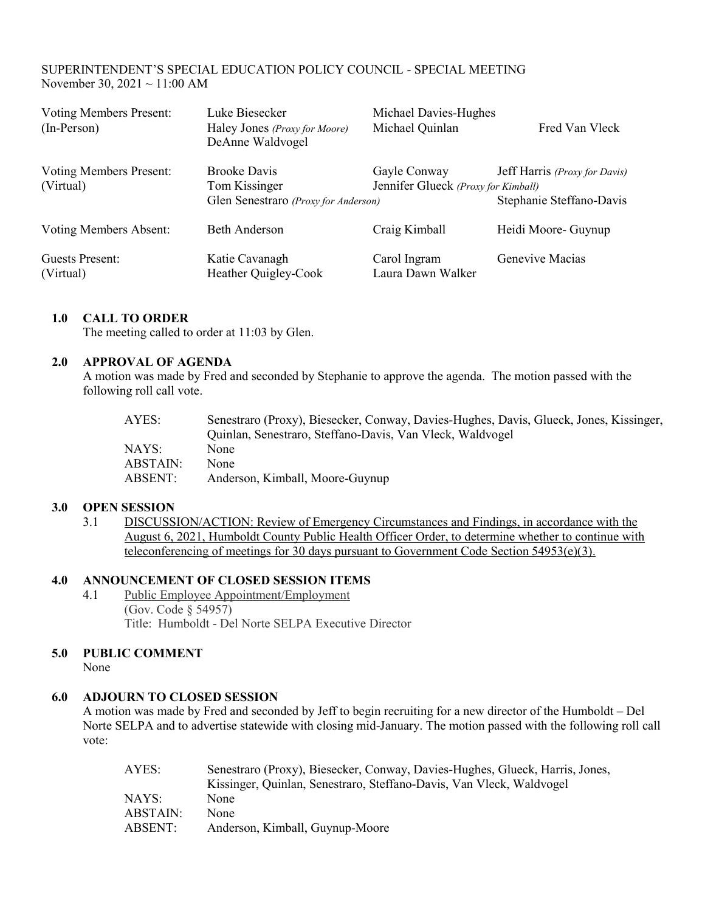# SUPERINTENDENT'S SPECIAL EDUCATION POLICY COUNCIL - SPECIAL MEETING November 30, 2021 ~ 11:00 AM

| <b>Voting Members Present:</b><br>$(In-Person)$ | Luke Biesecker<br>Haley Jones (Proxy for Moore)<br>DeAnne Waldvogel          | Michael Davies-Hughes<br>Michael Quinlan            | Fred Van Vleck                                            |
|-------------------------------------------------|------------------------------------------------------------------------------|-----------------------------------------------------|-----------------------------------------------------------|
| <b>Voting Members Present:</b><br>(Virtual)     | <b>Brooke Davis</b><br>Tom Kissinger<br>Glen Senestraro (Proxy for Anderson) | Gayle Conway<br>Jennifer Glueck (Proxy for Kimball) | Jeff Harris (Proxy for Davis)<br>Stephanie Steffano-Davis |
| Voting Members Absent:                          | <b>Beth Anderson</b>                                                         | Craig Kimball                                       | Heidi Moore- Guynup                                       |
| Guests Present:<br>(Virtual)                    | Katie Cavanagh<br>Heather Quigley-Cook                                       | Carol Ingram<br>Laura Dawn Walker                   | Genevive Macias                                           |

## **1.0 CALL TO ORDER**

The meeting called to order at 11:03 by Glen.

### **2.0 APPROVAL OF AGENDA**

A motion was made by Fred and seconded by Stephanie to approve the agenda. The motion passed with the following roll call vote.

| AYES:    | Senestraro (Proxy), Biesecker, Conway, Davies-Hughes, Davis, Glueck, Jones, Kissinger, |
|----------|----------------------------------------------------------------------------------------|
|          | Quinlan, Senestraro, Steffano-Davis, Van Vleck, Waldvogel                              |
| NAYS:    | None                                                                                   |
| ABSTAIN: | None                                                                                   |
| ABSENT:  | Anderson, Kimball, Moore-Guynup                                                        |

### **3.0 OPEN SESSION**

3.1 DISCUSSION/ACTION: Review of Emergency Circumstances and Findings, in accordance with the August 6, 2021, Humboldt County Public Health Officer Order, to determine whether to continue with teleconferencing of meetings for 30 days pursuant to Government Code Section 54953(e)(3).

## **4.0 ANNOUNCEMENT OF CLOSED SESSION ITEMS**

4.1 Public Employee Appointment/Employment (Gov. Code § 54957) Title: Humboldt - Del Norte SELPA Executive Director

# **5.0 PUBLIC COMMENT**

None

# **6.0 ADJOURN TO CLOSED SESSION**

A motion was made by Fred and seconded by Jeff to begin recruiting for a new director of the Humboldt – Del Norte SELPA and to advertise statewide with closing mid-January. The motion passed with the following roll call vote:

| AYES:    | Senestraro (Proxy), Biesecker, Conway, Davies-Hughes, Glueck, Harris, Jones, |
|----------|------------------------------------------------------------------------------|
|          | Kissinger, Quinlan, Senestraro, Steffano-Davis, Van Vleck, Waldvogel         |
| NAYS:    | None                                                                         |
| ABSTAIN: | None                                                                         |
| ABSENT:  | Anderson, Kimball, Guynup-Moore                                              |